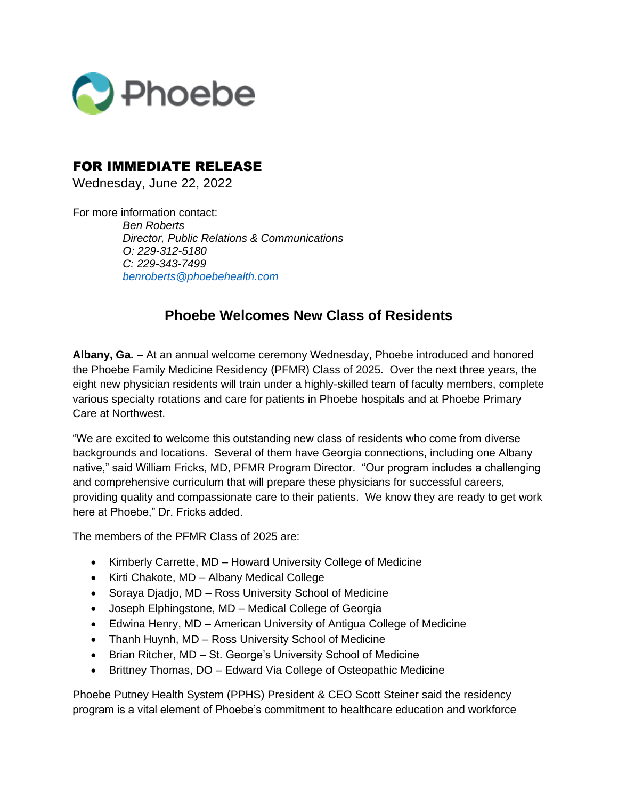

## FOR IMMEDIATE RELEASE

Wednesday, June 22, 2022

For more information contact: *Ben Roberts Director, Public Relations & Communications O: 229-312-5180 C: 229-343-7499 [benroberts@phoebehealth.com](mailto:benroberts@phoebehealth.com)*

## **Phoebe Welcomes New Class of Residents**

**Albany, Ga.** – At an annual welcome ceremony Wednesday, Phoebe introduced and honored the Phoebe Family Medicine Residency (PFMR) Class of 2025. Over the next three years, the eight new physician residents will train under a highly-skilled team of faculty members, complete various specialty rotations and care for patients in Phoebe hospitals and at Phoebe Primary Care at Northwest.

"We are excited to welcome this outstanding new class of residents who come from diverse backgrounds and locations. Several of them have Georgia connections, including one Albany native," said William Fricks, MD, PFMR Program Director. "Our program includes a challenging and comprehensive curriculum that will prepare these physicians for successful careers, providing quality and compassionate care to their patients. We know they are ready to get work here at Phoebe," Dr. Fricks added.

The members of the PFMR Class of 2025 are:

- Kimberly Carrette, MD Howard University College of Medicine
- Kirti Chakote, MD Albany Medical College
- Soraya Djadjo, MD Ross University School of Medicine
- Joseph Elphingstone, MD Medical College of Georgia
- Edwina Henry, MD American University of Antigua College of Medicine
- Thanh Huynh, MD Ross University School of Medicine
- Brian Ritcher, MD St. George's University School of Medicine
- Brittney Thomas, DO Edward Via College of Osteopathic Medicine

Phoebe Putney Health System (PPHS) President & CEO Scott Steiner said the residency program is a vital element of Phoebe's commitment to healthcare education and workforce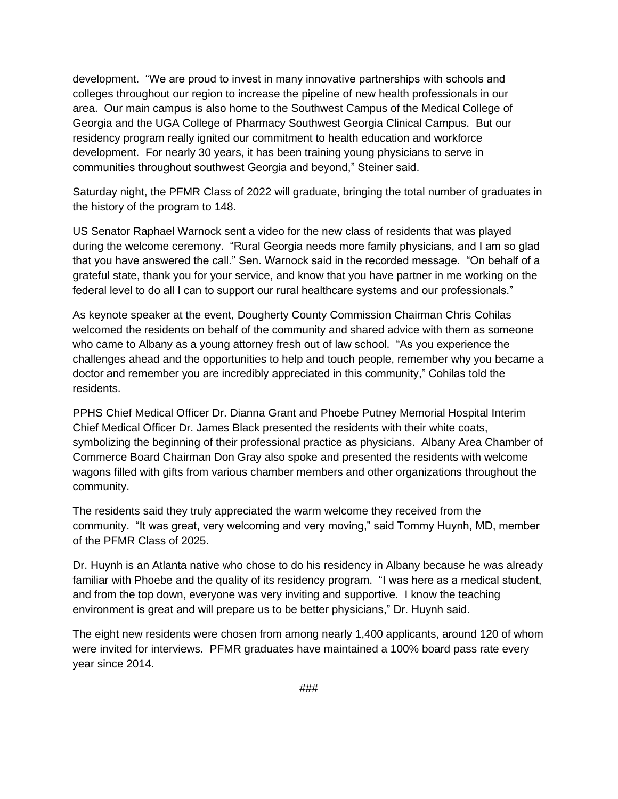development. "We are proud to invest in many innovative partnerships with schools and colleges throughout our region to increase the pipeline of new health professionals in our area. Our main campus is also home to the Southwest Campus of the Medical College of Georgia and the UGA College of Pharmacy Southwest Georgia Clinical Campus. But our residency program really ignited our commitment to health education and workforce development. For nearly 30 years, it has been training young physicians to serve in communities throughout southwest Georgia and beyond," Steiner said.

Saturday night, the PFMR Class of 2022 will graduate, bringing the total number of graduates in the history of the program to 148.

US Senator Raphael Warnock sent a video for the new class of residents that was played during the welcome ceremony. "Rural Georgia needs more family physicians, and I am so glad that you have answered the call." Sen. Warnock said in the recorded message. "On behalf of a grateful state, thank you for your service, and know that you have partner in me working on the federal level to do all I can to support our rural healthcare systems and our professionals."

As keynote speaker at the event, Dougherty County Commission Chairman Chris Cohilas welcomed the residents on behalf of the community and shared advice with them as someone who came to Albany as a young attorney fresh out of law school. "As you experience the challenges ahead and the opportunities to help and touch people, remember why you became a doctor and remember you are incredibly appreciated in this community," Cohilas told the residents.

PPHS Chief Medical Officer Dr. Dianna Grant and Phoebe Putney Memorial Hospital Interim Chief Medical Officer Dr. James Black presented the residents with their white coats, symbolizing the beginning of their professional practice as physicians. Albany Area Chamber of Commerce Board Chairman Don Gray also spoke and presented the residents with welcome wagons filled with gifts from various chamber members and other organizations throughout the community.

The residents said they truly appreciated the warm welcome they received from the community. "It was great, very welcoming and very moving," said Tommy Huynh, MD, member of the PFMR Class of 2025.

Dr. Huynh is an Atlanta native who chose to do his residency in Albany because he was already familiar with Phoebe and the quality of its residency program. "I was here as a medical student, and from the top down, everyone was very inviting and supportive. I know the teaching environment is great and will prepare us to be better physicians," Dr. Huynh said.

The eight new residents were chosen from among nearly 1,400 applicants, around 120 of whom were invited for interviews. PFMR graduates have maintained a 100% board pass rate every year since 2014.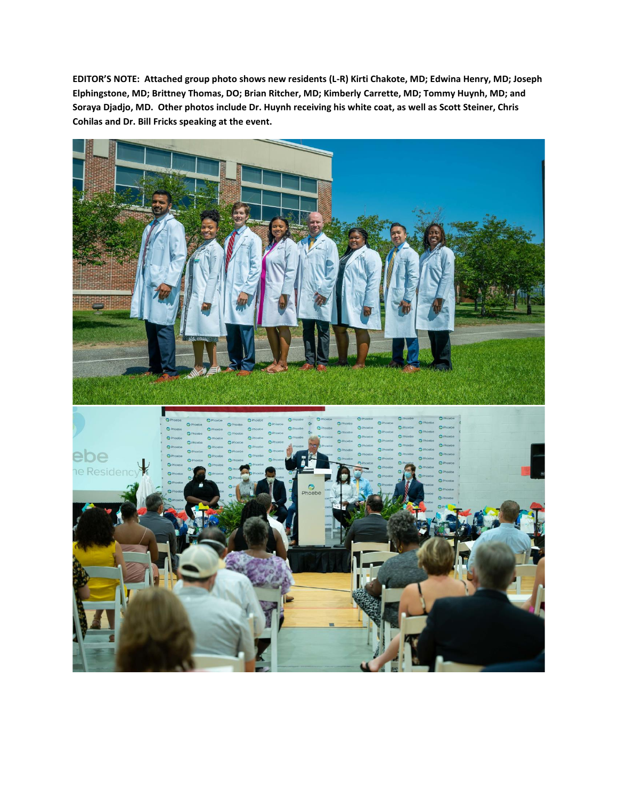**EDITOR'S NOTE: Attached group photo shows new residents (L-R) Kirti Chakote, MD; Edwina Henry, MD; Joseph Elphingstone, MD; Brittney Thomas, DO; Brian Ritcher, MD; Kimberly Carrette, MD; Tommy Huynh, MD; and Soraya Djadjo, MD. Other photos include Dr. Huynh receiving his white coat, as well as Scott Steiner, Chris Cohilas and Dr. Bill Fricks speaking at the event.**

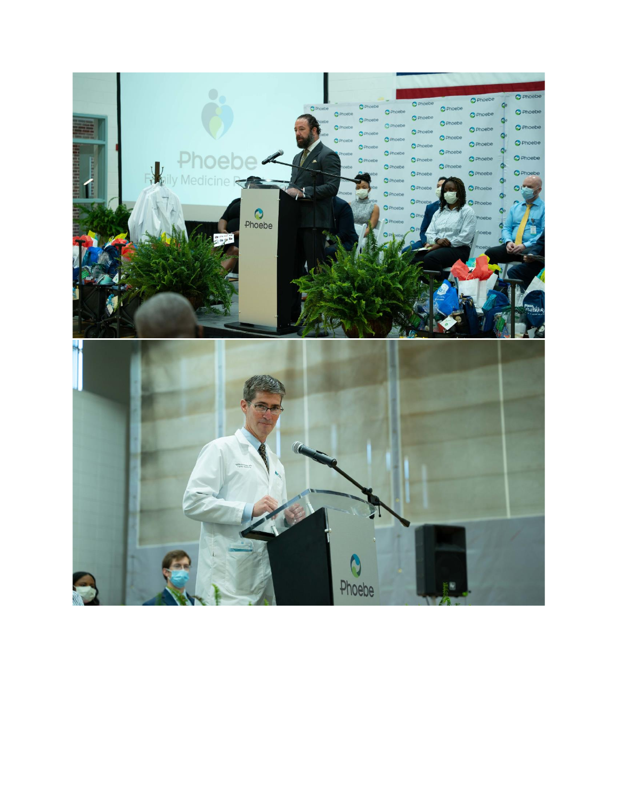